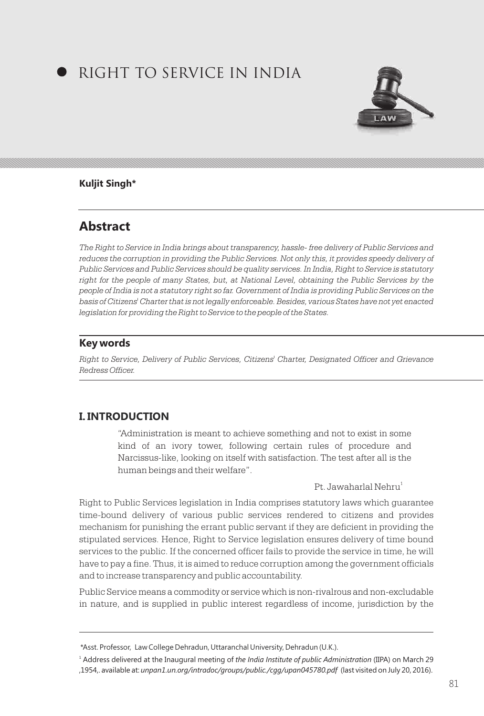# RIGHT TO SERVICE IN INDIA



#### **Kuljit Singh\***

# **Abstract**

*The Right to Service in India brings about transparency, hassle- free delivery of Public Services and*  reduces the corruption in providing the Public Services. Not only this, it provides speedy delivery of *Public Services and Public Services should be quality services. In India, Right to Service is statutory right for the people of many States, but, at National Level, obtaining the Public Services by the people of India is not a statutory right so far. Government of India is providing Public Services on the basis of Citizens' Charter that is not legally enforceable. Besides, various States have not yet enacted legislation for providing the Right to Service to the people of the States.*

# **Key words**

*Right to Service, Delivery of Public Services, Citizens' Charter, Designated Officer and Grievance Redress Officer.*

# **I. INTRODUCTION**

"Administration is meant to achieve something and not to exist in some kind of an ivory tower, following certain rules of procedure and Narcissus-like, looking on itself with satisfaction. The test after all is the human beings and their welfare".

1 Pt. Jawaharlal Nehru

Right to Public Services legislation in India comprises statutory laws which guarantee time-bound delivery of various public services rendered to citizens and provides mechanism for punishing the errant public servant if they are deficient in providing the stipulated services. Hence, Right to Service legislation ensures delivery of time bound services to the public. If the concerned officer fails to provide the service in time, he will have to pay a fine. Thus, it is aimed to reduce corruption among the government officials and to increase transparency and public accountability.

Public Service means a commodity or service which is non-rivalrous and non-excludable in nature, and is supplied in public interest regardless of income, jurisdiction by the

<sup>\*</sup> Asst. Professor, Law College Dehradun, Uttaranchal University, Dehradun (U.K.).

<sup>1</sup> Address delivered at the Inaugural meeting of *the India Institute of public Administration* (IIPA) on March 29 ,1954,. available at: *unpan1.un.org/intradoc/groups/public./cgg/upan045780.pdf* (last visited on July 20, 2016).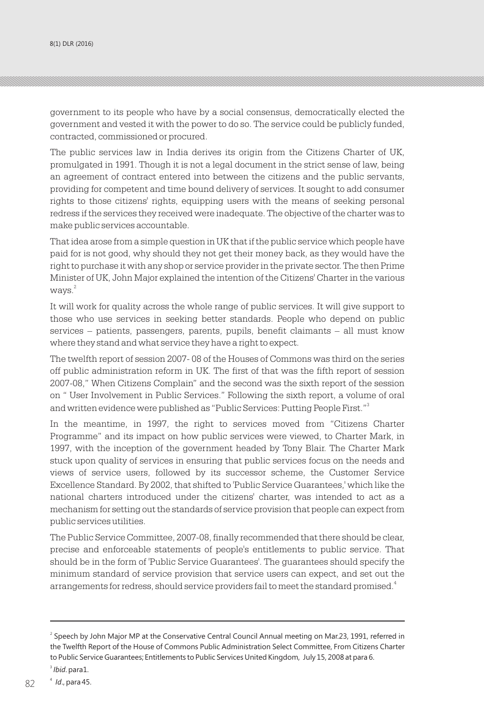government to its people who have by a social consensus, democratically elected the government and vested it with the power to do so. The service could be publicly funded, contracted, commissioned or procured.

The public services law in India derives its origin from the Citizens Charter of UK, promulgated in 1991. Though it is not a legal document in the strict sense of law, being an agreement of contract entered into between the citizens and the public servants, providing for competent and time bound delivery of services. It sought to add consumer rights to those citizens' rights, equipping users with the means of seeking personal redress if the services they received were inadequate. The objective of the charter was to make public services accountable.

That idea arose from a simple question in UK that if the public service which people have paid for is not good, why should they not get their money back, as they would have the right to purchase it with any shop or service provider in the private sector. The then Prime Minister of UK, John Major explained the intention of the Citizens' Charter in the various  $w$ avs. $^{2}$ 

It will work for quality across the whole range of public services. It will give support to those who use services in seeking better standards. People who depend on public services – patients, passengers, parents, pupils, benefit claimants – all must know where they stand and what service they have a right to expect.

The twelfth report of session 2007- 08 of the Houses of Commons was third on the series off public administration reform in UK. The first of that was the fifth report of session 2007-08," When Citizens Complain" and the second was the sixth report of the session on " User Involvement in Public Services." Following the sixth report, a volume of oral and written evidence were published as "Public Services: Putting People First."<sup>3</sup>

In the meantime, in 1997, the right to services moved from "Citizens Charter Programme" and its impact on how public services were viewed, to Charter Mark, in 1997, with the inception of the government headed by Tony Blair. The Charter Mark stuck upon quality of services in ensuring that public services focus on the needs and views of service users, followed by its successor scheme, the Customer Service Excellence Standard. By 2002, that shifted to 'Public Service Guarantees,' which like the national charters introduced under the citizens' charter, was intended to act as a mechanism for setting out the standards of service provision that people can expect from public services utilities.

The Public Service Committee, 2007-08, finally recommended that there should be clear, precise and enforceable statements of people's entitlements to public service. That should be in the form of 'Public Service Guarantees'. The guarantees should specify the minimum standard of service provision that service users can expect, and set out the arrangements for redress, should service providers fail to meet the standard promised. $^{\textrm{\tiny{d}}}$ 

<sup>&</sup>lt;sup>2</sup> Speech by John Major MP at the Conservative Central Council Annual meeting on Mar.23, 1991, referred in the Twelfth Report of the House of Commons Public Administration Select Committee, From Citizens Charter to Public Service Guarantees; Entitlements to Public Services United Kingdom, July 15, 2008 at para 6.

<sup>3</sup> *Ibid*. para1.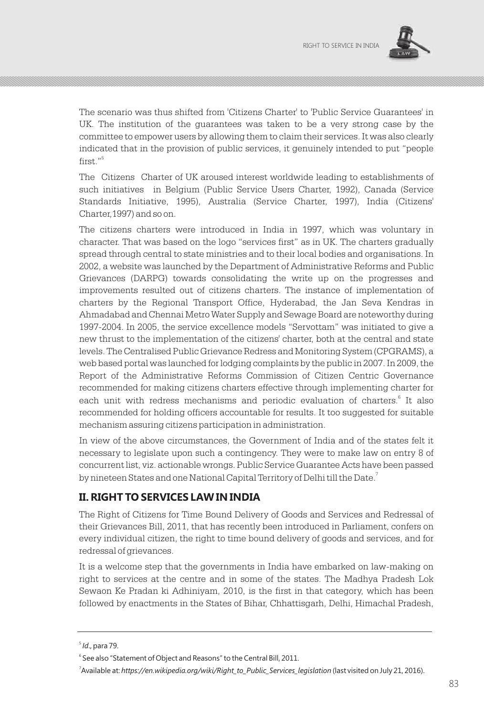

The scenario was thus shifted from 'Citizens Charter' to 'Public Service Guarantees' in UK. The institution of the guarantees was taken to be a very strong case by the committee to empower users by allowing them to claim their services. It was also clearly indicated that in the provision of public services, it genuinely intended to put "people 5 first."

The Citizens Charter of UK aroused interest worldwide leading to establishments of such initiatives in Belgium (Public Service Users Charter, 1992), Canada (Service Standards Initiative, 1995), Australia (Service Charter, 1997), India (Citizens' Charter,1997) and so on.

The citizens charters were introduced in India in 1997, which was voluntary in character. That was based on the logo "services first" as in UK. The charters gradually spread through central to state ministries and to their local bodies and organisations. In 2002, a website was launched by the Department of Administrative Reforms and Public Grievances (DARPG) towards consolidating the write up on the progresses and improvements resulted out of citizens charters. The instance of implementation of charters by the Regional Transport Office, Hyderabad, the Jan Seva Kendras in Ahmadabad and Chennai Metro Water Supply and Sewage Board are noteworthy during 1997-2004. In 2005, the service excellence models "Servottam" was initiated to give a new thrust to the implementation of the citizens' charter, both at the central and state levels. The Centralised Public Grievance Redress and Monitoring System (CPGRAMS), a web based portal was launched for lodging complaints by the public in 2007. In 2009, the Report of the Administrative Reforms Commission of Citizen Centric Governance recommended for making citizens charters effective through implementing charter for each unit with redress mechanisms and periodic evaluation of charters.<sup>6</sup> It also recommended for holding officers accountable for results. It too suggested for suitable mechanism assuring citizens participation in administration.

In view of the above circumstances, the Government of India and of the states felt it necessary to legislate upon such a contingency. They were to make law on entry 8 of concurrent list, viz. actionable wrongs. Public Service Guarantee Acts have been passed by nineteen States and one National Capital Territory of Delhi till the Date. $^7$ 

### **II. RIGHT TO SERVICES LAW IN INDIA**

The Right of Citizens for Time Bound Delivery of Goods and Services and Redressal of their Grievances Bill, 2011, that has recently been introduced in Parliament, confers on every individual citizen, the right to time bound delivery of goods and services, and for redressal of grievances.

It is a welcome step that the governments in India have embarked on law-making on right to services at the centre and in some of the states. The Madhya Pradesh Lok Sewaon Ke Pradan ki Adhiniyam, 2010, is the first in that category, which has been followed by enactments in the States of Bihar, Chhattisgarh, Delhi, Himachal Pradesh,

<sup>5</sup> *Id*., para 79.

<sup>&</sup>lt;sup>6</sup> See also "Statement of Object and Reasons" to the Central Bill, 2011.

<sup>7</sup> Available at: *https://en.wikipedia.org/wiki/Right\_to\_Public\_Services\_legislation* (last visited on July 21, 2016).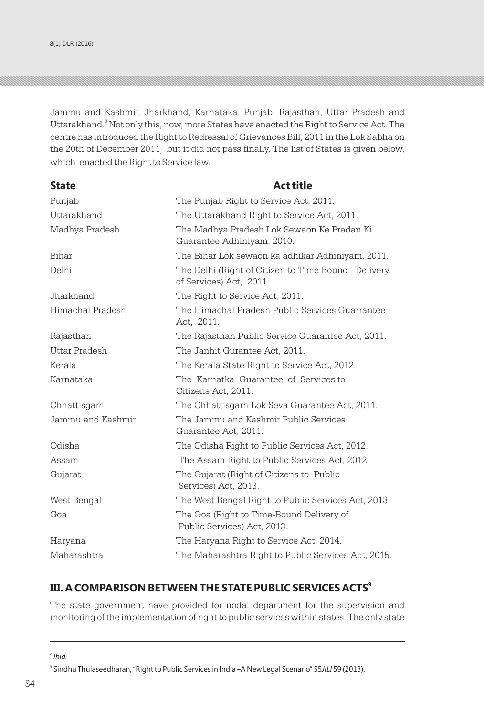Jammu and Kashmir, Jharkhand, Karnataka, Punjab, Rajasthan, Uttar Pradesh and Uttarakhand.<sup>8</sup> Not only this, now, more States have enacted the Right to Service Act. The centre has introduced the Right to Redressal of Grievances Bill, 2011 in the Lok Sabha on the 20th of December 2011  $\,$  but it did not pass finally. The list of States is given below, which enacted the Right to Service law.

| <b>State</b>      | <b>Act title</b>                                                              |
|-------------------|-------------------------------------------------------------------------------|
| Punjab            | The Punjab Right to Service Act, 2011.                                        |
| Uttarakhand       | The Uttarakhand Right to Service Act, 2011.                                   |
| Madhya Pradesh    | The Madhya Pradesh Lok Sewaon Ke Pradan Ki<br>Guarantee Adhiniyam, 2010.      |
| Bihar             | The Bihar Lok sewaon ka adhikar Adhiniyam, 2011.                              |
| Delhi             | The Delhi (Right of Citizen to Time Bound Delivery.<br>of Services) Act, 2011 |
| Jharkhand         | The Right to Service Act, 2011.                                               |
| Himachal Pradesh  | The Himachal Pradesh Public Services Guarrantee<br>Act. 2011.                 |
| Rajasthan         | The Rajasthan Public Service Guarantee Act, 2011.                             |
| Uttar Pradesh     | The Janhit Gurantee Act, 2011.                                                |
| Kerala            | The Kerala State Right to Service Act, 2012.                                  |
| Karnataka         | The Karnatka Guarantee of Services to<br>Citizens Act, 2011.                  |
| Chhattisgarh      | The Chhattisgarh Lok Seva Guarantee Act, 2011.                                |
| Jammu and Kashmir | The Jammu and Kashmir Public Services<br>Guarantee Act, 2011.                 |
| Odisha            | The Odisha Right to Public Services Act, 2012.                                |
| Assam             | The Assam Right to Public Services Act, 2012.                                 |
| Gujarat           | The Gujarat (Right of Citizens to Public<br>Services) Act, 2013.              |
| West Bengal       | The West Bengal Right to Public Services Act, 2013.                           |
| Goa               | The Goa (Right to Time-Bound Delivery of<br>Public Services) Act, 2013.       |
| Haryana           | The Haryana Right to Service Act, 2014.                                       |
| Maharashtra       | The Maharashtra Right to Public Services Act, 2015.                           |

### **9 III. A COMPARISON BETWEEN THE STATE PUBLIC SERVICES ACTS**

The state government have provided for nodal department for the supervision and monitoring of the implementation of right to public services within states. The only state

<sup>8</sup> *Ibid.*

<sup>9</sup> Sindhu Thulaseedharan, "Right to Public Services in India –A New Legal Scenario" 55*JILI* 59 (2013).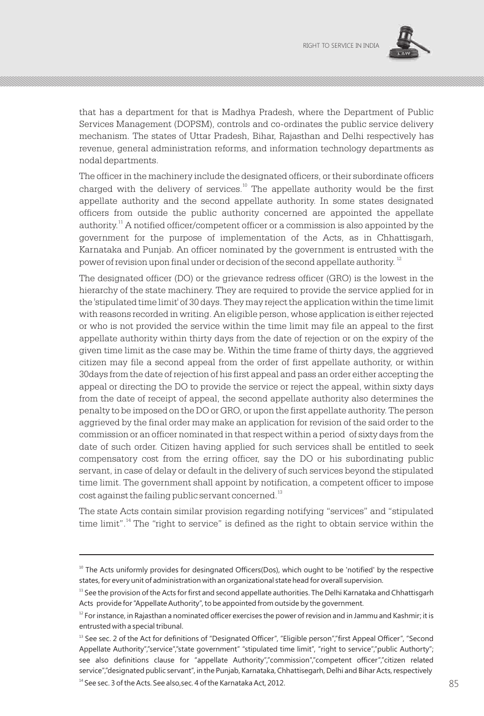

that has a department for that is Madhya Pradesh, where the Department of Public Services Management (DOPSM), controls and co-ordinates the public service delivery mechanism. The states of Uttar Pradesh, Bihar, Rajasthan and Delhi respectively has revenue, general administration reforms, and information technology departments as nodal departments.

The officer in the machinery include the designated officers, or their subordinate officers charged with the delivery of services.<sup>10</sup> The appellate authority would be the first appellate authority and the second appellate authority. In some states designated officers from outside the public authority concerned are appointed the appellate authority.<sup>11</sup> A notified officer/competent officer or a commission is also appointed by the government for the purpose of implementation of the Acts, as in Chhattisgarh, Karnataka and Punjab. An officer nominated by the government is entrusted with the power of revision upon final under or decision of the second appellate authority.  $^{\rm 12}$ 

The designated officer (DO) or the grievance redress officer (GRO) is the lowest in the hierarchy of the state machinery. They are required to provide the service applied for in the 'stipulated time limit' of 30 days. They may reject the application within the time limit with reasons recorded in writing. An eligible person, whose application is either rejected or who is not provided the service within the time limit may file an appeal to the first appellate authority within thirty days from the date of rejection or on the expiry of the given time limit as the case may be. Within the time frame of thirty days, the aggrieved citizen may file a second appeal from the order of first appellate authority, or within 30days from the date of rejection of his first appeal and pass an order either accepting the appeal or directing the DO to provide the service or reject the appeal, within sixty days from the date of receipt of appeal, the second appellate authority also determines the penalty to be imposed on the DO or GRO, or upon the first appellate authority. The person aggrieved by the final order may make an application for revision of the said order to the commission or an officer nominated in that respect within a period of sixty days from the date of such order. Citizen having applied for such services shall be entitled to seek compensatory cost from the erring officer, say the DO or his subordinating public servant, in case of delay or default in the delivery of such services beyond the stipulated time limit. The government shall appoint by notification, a competent officer to impose cost against the failing public servant concerned.<sup>13</sup>

The state Acts contain similar provision regarding notifying "services" and "stipulated time limit".<sup>14</sup> The "right to service" is defined as the right to obtain service within the

 $14$  See sec. 3 of the Acts. See also, sec. 4 of the Karnataka Act, 2012.

 $10$  The Acts uniformly provides for desingnated Officers(Dos), which ought to be 'notified' by the respective states, for every unit of administration with an organizational state head for overall supervision.

 $11$  See the provision of the Acts for first and second appellate authorities. The Delhi Karnataka and Chhattisgarh Acts provide for "Appellate Authority", to be appointed from outside by the government.

 $12$  For instance, in Rajasthan a nominated officer exercises the power of revision and in Jammu and Kashmir; it is entrusted with a special tribunal.

<sup>&</sup>lt;sup>13</sup> See sec. 2 of the Act for definitions of "Designated Officer", "Eligible person","first Appeal Officer", "Second Appellate Authority","service","state government" "stipulated time limit", "right to service","public Authorty"; see also definitions clause for "appellate Authority","commission","competent officer","citizen related service","designated public servant", in the Punjab, Karnataka, Chhattisegarh, Delhi and Bihar Acts, respectively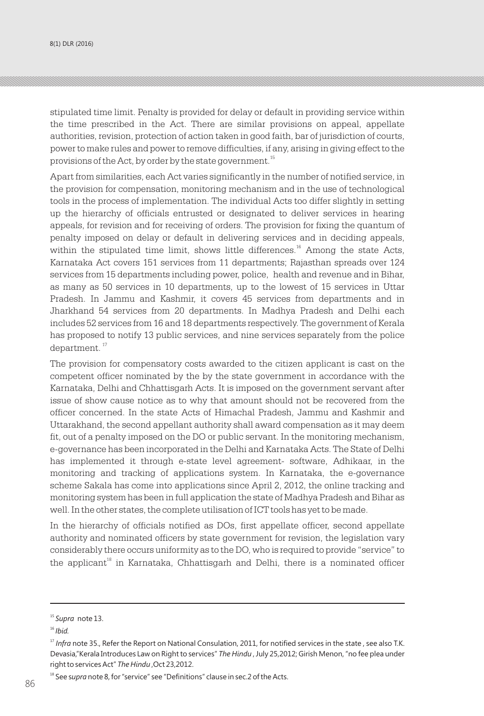8(1) DLR (2016) RIGHT TO SERVICE IN INDIANAL CHARGE IN INDIANAL CHARGE IN INDIANAL CHARGE IN INDIANAL CHARGE I

stipulated time limit. Penalty is provided for delay or default in providing service within the time prescribed in the Act. There are similar provisions on appeal, appellate authorities, revision, protection of action taken in good faith, bar of jurisdiction of courts, power to make rules and power to remove difficulties, if any, arising in giving effect to the provisions of the Act, by order by the state government.<sup>15</sup>

Apart from similarities, each Act varies significantly in the number of notified service, in the provision for compensation, monitoring mechanism and in the use of technological tools in the process of implementation. The individual Acts too differ slightly in setting up the hierarchy of officials entrusted or designated to deliver services in hearing appeals, for revision and for receiving of orders. The provision for fixing the quantum of penalty imposed on delay or default in delivering services and in deciding appeals, within the stipulated time limit, shows little differences.<sup>16</sup> Among the state Acts, Karnataka Act covers 151 services from 11 departments; Rajasthan spreads over 124 services from 15 departments including power, police, health and revenue and in Bihar, as many as 50 services in 10 departments, up to the lowest of 15 services in Uttar Pradesh. In Jammu and Kashmir, it covers 45 services from departments and in Jharkhand 54 services from 20 departments. In Madhya Pradesh and Delhi each includes 52 services from 16 and 18 departments respectively. The government of Kerala has proposed to notify 13 public services, and nine services separately from the police  $d$ epartment. $17$ 

The provision for compensatory costs awarded to the citizen applicant is cast on the competent officer nominated by the by the state government in accordance with the Karnataka, Delhi and Chhattisgarh Acts. It is imposed on the government servant after issue of show cause notice as to why that amount should not be recovered from the officer concerned. In the state Acts of Himachal Pradesh, Jammu and Kashmir and Uttarakhand, the second appellant authority shall award compensation as it may deem fit, out of a penalty imposed on the DO or public servant. In the monitoring mechanism, e-governance has been incorporated in the Delhi and Karnataka Acts. The State of Delhi has implemented it through e-state level agreement- software, Adhikaar, in the monitoring and tracking of applications system. In Karnataka, the e-governance scheme Sakala has come into applications since April 2, 2012, the online tracking and monitoring system has been in full application the state of Madhya Pradesh and Bihar as well. In the other states, the complete utilisation of ICT tools has yet to be made.

In the hierarchy of officials notified as DOs, first appellate officer, second appellate authority and nominated officers by state government for revision, the legislation vary considerably there occurs uniformity as to the DO, who is required to provide "service" to the applicant<sup>18</sup> in Karnataka, Chhattisgarh and Delhi, there is a nominated officer

<sup>15</sup> *Supra* note 13.

<sup>16</sup> *Ibid.*

<sup>&</sup>lt;sup>17</sup> Infra note 35., Refer the Report on National Consulation, 2011, for notified services in the state, see also T.K. Devasia,"Kerala Introduces Law on Right to services" *The Hindu* , July 25,2012; Girish Menon, "no fee plea under right to services Act" *The Hindu* ,Oct 23,2012.

<sup>&</sup>lt;sup>18</sup> See supra note 8, for "service" see "Definitions" clause in sec.2 of the Acts. 86 87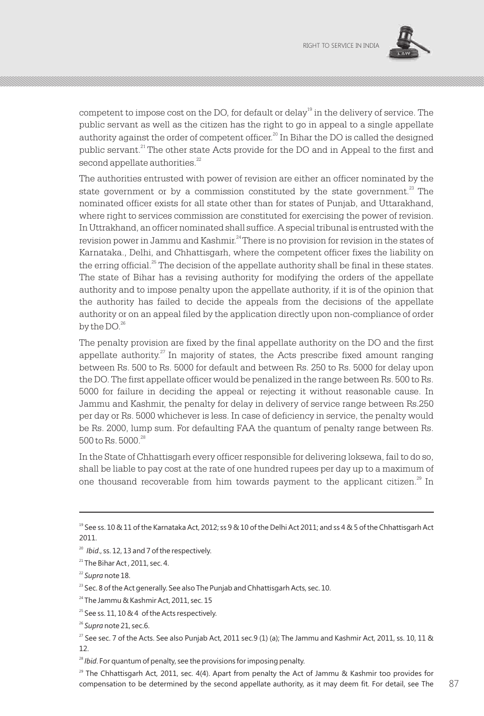

competent to impose cost on the DO, for default or delay  $\rm{^{19}}$  in the delivery of service. The public servant as well as the citizen has the right to go in appeal to a single appellate authority against the order of competent officer.<sup>20</sup> In Bihar the DO is called the designed public servant.<sup>21</sup> The other state Acts provide for the DO and in Appeal to the first and second appellate authorities.<sup>22</sup>

The authorities entrusted with power of revision are either an officer nominated by the state government or by a commission constituted by the state government.<sup>23</sup> The nominated officer exists for all state other than for states of Punjab, and Uttarakhand, where right to services commission are constituted for exercising the power of revision. In Uttrakhand, an officer nominated shall suffice. A special tribunal is entrusted with the revision power in Jammu and Kashmir.<sup>24</sup> There is no provision for revision in the states of Karnataka., Delhi, and Chhattisgarh, where the competent officer fixes the liability on the erring official.<sup>25</sup> The decision of the appellate authority shall be final in these states. The state of Bihar has a revising authority for modifying the orders of the appellate authority and to impose penalty upon the appellate authority, if it is of the opinion that the authority has failed to decide the appeals from the decisions of the appellate authority or on an appeal filed by the application directly upon non-compliance of order by the  $DO<sup>26</sup>$ .

The penalty provision are fixed by the final appellate authority on the DO and the first appellate authority.<sup>27</sup> In majority of states, the Acts prescribe fixed amount ranging between Rs. 500 to Rs. 5000 for default and between Rs. 250 to Rs. 5000 for delay upon the DO. The first appellate officer would be penalized in the range between Rs. 500 to Rs. 5000 for failure in deciding the appeal or rejecting it without reasonable cause. In Jammu and Kashmir, the penalty for delay in delivery of service range between Rs.250 per day or Rs. 5000 whichever is less. In case of deficiency in service, the penalty would be Rs. 2000, lump sum. For defaulting FAA the quantum of penalty range between Rs. 500 to Rs. 5000<sup>28</sup>

In the State of Chhattisgarh every officer responsible for delivering loksewa, fail to do so, shall be liable to pay cost at the rate of one hundred rupees per day up to a maximum of one thousand recoverable from him towards payment to the applicant citizen.<sup>29</sup> In

<sup>&</sup>lt;sup>19</sup> See ss. 10 & 11 of the Karnataka Act, 2012; ss 9 & 10 of the Delhi Act 2011; and ss 4 & 5 of the Chhattisgarh Act 2011.

<sup>20</sup> *Ibid*., ss. 12, 13 and 7 of the respectively.

 $21$  The Bihar Act, 2011, sec. 4.

<sup>22</sup> *Supra* note 18.

<sup>&</sup>lt;sup>23</sup> Sec. 8 of the Act generally. See also The Punjab and Chhattisgarh Acts, sec. 10.

<sup>&</sup>lt;sup>24</sup> The Jammu & Kashmir Act, 2011, sec. 15

 $25$  See ss. 11, 10 & 4 of the Acts respectively.

<sup>26</sup> *Supra* note 21, sec.6.

<sup>&</sup>lt;sup>27</sup> See sec. 7 of the Acts. See also Punjab Act, 2011 sec.9 (1) (a); The Jammu and Kashmir Act, 2011, ss. 10, 11 & 12.

<sup>&</sup>lt;sup>28</sup> *Ibid*. For quantum of penalty, see the provisions for imposing penalty.

<sup>&</sup>lt;sup>29</sup> The Chhattisgarh Act, 2011, sec. 4(4). Apart from penalty the Act of Jammu & Kashmir too provides for compensation to be determined by the second appellate authority, as it may deem fit. For detail, see The  $87$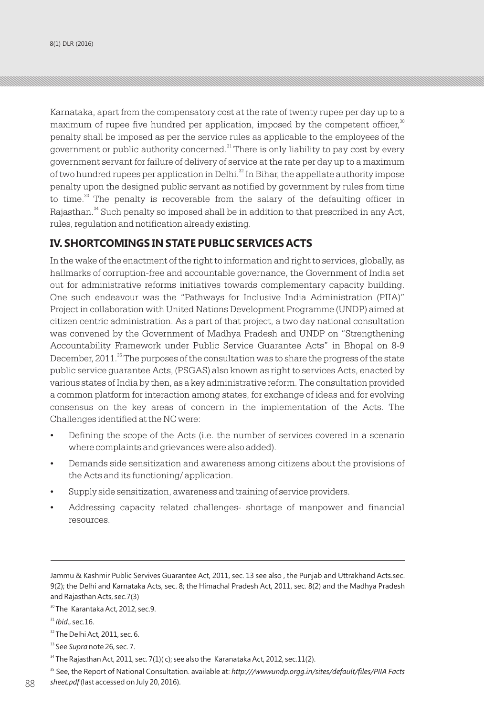Karnataka, apart from the compensatory cost at the rate of twenty rupee per day up to a maximum of rupee five hundred per application, imposed by the competent officer, $\overset{30}{\circ}$ penalty shall be imposed as per the service rules as applicable to the employees of the government or public authority concerned. $^{\textrm{\tiny{31}}}$  There is only liability to pay cost by every government servant for failure of delivery of service at the rate per day up to a maximum of two hundred rupees per application in Delhi. $^{32}$  In Bihar, the appellate authority impose penalty upon the designed public servant as notified by government by rules from time to time.<sup>33</sup> The penalty is recoverable from the salary of the defaulting officer in Rajasthan.<sup>34</sup> Such penalty so imposed shall be in addition to that prescribed in any Act, rules, regulation and notification already existing.

# **IV. SHORTCOMINGS IN STATE PUBLIC SERVICES ACTS**

In the wake of the enactment of the right to information and right to services, globally, as hallmarks of corruption-free and accountable governance, the Government of India set out for administrative reforms initiatives towards complementary capacity building. One such endeavour was the "Pathways for Inclusive India Administration (PIIA)" Project in collaboration with United Nations Development Programme (UNDP) aimed at citizen centric administration. As a part of that project, a two day national consultation was convened by the Government of Madhya Pradesh and UNDP on "Strengthening Accountability Framework under Public Service Guarantee Acts" in Bhopal on 8-9 December, 2011.<sup>35</sup> The purposes of the consultation was to share the progress of the state public service guarantee Acts, (PSGAS) also known as right to services Acts, enacted by various states of India by then, as a key administrative reform. The consultation provided a common platform for interaction among states, for exchange of ideas and for evolving consensus on the key areas of concern in the implementation of the Acts. The Challenges identified at the NC were:

- Defining the scope of the Acts (i.e. the number of services covered in a scenario where complaints and grievances were also added).
- Demands side sensitization and awareness among citizens about the provisions of the Acts and its functioning/ application.
- Supply side sensitization, awareness and training of service providers.
- Addressing capacity related challenges- shortage of manpower and financial resources.

Jammu & Kashmir Public Servives Guarantee Act, 2011, sec. 13 see also , the Punjab and Uttrakhand Acts.sec. 9(2); the Delhi and Karnataka Acts, sec. 8; the Himachal Pradesh Act, 2011, sec. 8(2) and the Madhya Pradesh and Rajasthan Acts, sec.7(3)

<sup>&</sup>lt;sup>30</sup> The Karantaka Act, 2012, sec.9.

 $31$  *Ibid.*, sec. 16.

<sup>&</sup>lt;sup>32</sup> The Delhi Act, 2011, sec. 6.

<sup>33</sup> See *Supra* note 26, sec. 7.

 $34$  The Rajasthan Act, 2011, sec. 7(1)(c); see also the Karanataka Act, 2012, sec. 11(2).

<sup>&</sup>lt;sup>35</sup> See, the Report of National Consultation. available at: *http:///wwwundp.orgg.in/sites/default/files/PIIA Facts* 88 *Isheet.pdf* (last accessed on July 20, 2016).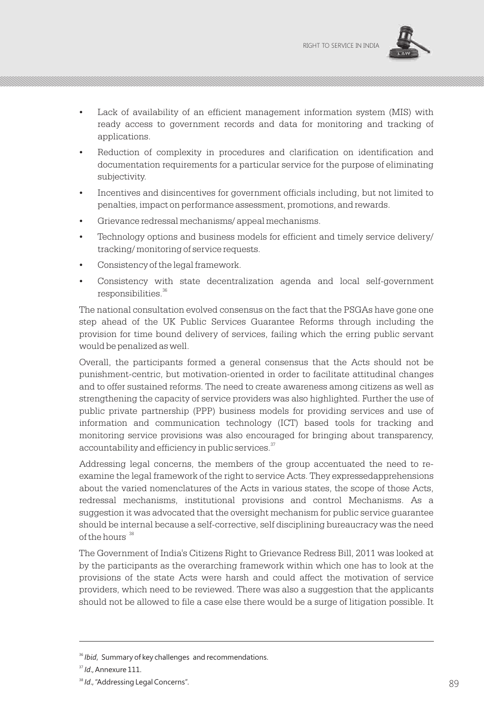

- Lack of availability of an efficient management information system (MIS) with ready access to government records and data for monitoring and tracking of applications.
- Reduction of complexity in procedures and clarification on identification and documentation requirements for a particular service for the purpose of eliminating subjectivity.
- Incentives and disincentives for government officials including, but not limited to penalties, impact on performance assessment, promotions, and rewards.
- Grievance redressal mechanisms/ appeal mechanisms.
- Technology options and business models for efficient and timely service delivery/ tracking/ monitoring of service requests.
- Consistency of the legal framework.
- Consistency with state decentralization agenda and local self-government responsibilities.<sup>36</sup>

The national consultation evolved consensus on the fact that the PSGAs have gone one step ahead of the UK Public Services Guarantee Reforms through including the provision for time bound delivery of services, failing which the erring public servant would be penalized as well.

Overall, the participants formed a general consensus that the Acts should not be punishment-centric, but motivation-oriented in order to facilitate attitudinal changes and to offer sustained reforms. The need to create awareness among citizens as well as strengthening the capacity of service providers was also highlighted. Further the use of public private partnership (PPP) business models for providing services and use of information and communication technology (ICT) based tools for tracking and monitoring service provisions was also encouraged for bringing about transparency, accountability and efficiency in public services.<sup>37</sup>

Addressing legal concerns, the members of the group accentuated the need to reexamine the legal framework of the right to service Acts. They expressedapprehensions about the varied nomenclatures of the Acts in various states, the scope of those Acts, redressal mechanisms, institutional provisions and control Mechanisms. As a suggestion it was advocated that the oversight mechanism for public service guarantee should be internal because a self-corrective, self disciplining bureaucracy was the need of the hours<sup>38</sup>

The Government of India's Citizens Right to Grievance Redress Bill, 2011 was looked at by the participants as the overarching framework within which one has to look at the provisions of the state Acts were harsh and could affect the motivation of service providers, which need to be reviewed. There was also a suggestion that the applicants should not be allowed to file a case else there would be a surge of litigation possible. It

<sup>&</sup>lt;sup>36</sup> *Ibid*, Summary of key challenges and recommendations.

<sup>&</sup>lt;sup>37</sup> *Id.*, Annexure 111.

<sup>&</sup>lt;sup>38</sup> Id., "Addressing Legal Concerns". **89** and the state of the state of the state of the state of the state of the state of the state of the state of the state of the state of the state of the state of the state of the s